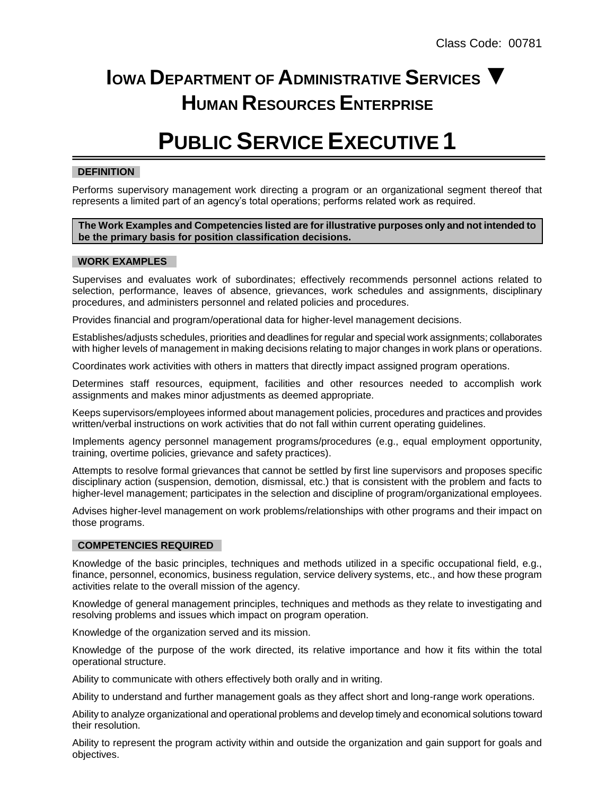# **IOWA DEPARTMENT OF ADMINISTRATIVE SERVICES ▼ HUMAN RESOURCES ENTERPRISE**

# **PUBLIC SERVICE EXECUTIVE 1**

## **DEFINITION**

Performs supervisory management work directing a program or an organizational segment thereof that represents a limited part of an agency's total operations; performs related work as required.

#### **The Work Examples and Competencies listed are for illustrative purposes only and not intended to be the primary basis for position classification decisions.**

#### **WORK EXAMPLES**

Supervises and evaluates work of subordinates; effectively recommends personnel actions related to selection, performance, leaves of absence, grievances, work schedules and assignments, disciplinary procedures, and administers personnel and related policies and procedures.

Provides financial and program/operational data for higher-level management decisions.

Establishes/adjusts schedules, priorities and deadlines for regular and special work assignments; collaborates with higher levels of management in making decisions relating to major changes in work plans or operations.

Coordinates work activities with others in matters that directly impact assigned program operations.

Determines staff resources, equipment, facilities and other resources needed to accomplish work assignments and makes minor adjustments as deemed appropriate.

Keeps supervisors/employees informed about management policies, procedures and practices and provides written/verbal instructions on work activities that do not fall within current operating guidelines.

Implements agency personnel management programs/procedures (e.g., equal employment opportunity, training, overtime policies, grievance and safety practices).

Attempts to resolve formal grievances that cannot be settled by first line supervisors and proposes specific disciplinary action (suspension, demotion, dismissal, etc.) that is consistent with the problem and facts to higher-level management; participates in the selection and discipline of program/organizational employees.

Advises higher-level management on work problems/relationships with other programs and their impact on those programs.

#### **COMPETENCIES REQUIRED**

Knowledge of the basic principles, techniques and methods utilized in a specific occupational field, e.g., finance, personnel, economics, business regulation, service delivery systems, etc., and how these program activities relate to the overall mission of the agency.

Knowledge of general management principles, techniques and methods as they relate to investigating and resolving problems and issues which impact on program operation.

Knowledge of the organization served and its mission.

Knowledge of the purpose of the work directed, its relative importance and how it fits within the total operational structure.

Ability to communicate with others effectively both orally and in writing.

Ability to understand and further management goals as they affect short and long-range work operations.

Ability to analyze organizational and operational problems and develop timely and economical solutions toward their resolution.

Ability to represent the program activity within and outside the organization and gain support for goals and objectives.